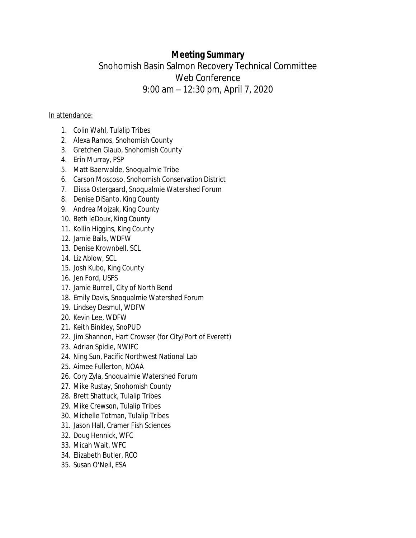# **Meeting Summary**

# Snohomish Basin Salmon Recovery Technical Committee Web Conference 9:00 am – 12:30 pm, April 7, 2020

## In attendance:

- 1. Colin Wahl, Tulalip Tribes
- 2. Alexa Ramos, Snohomish County
- 3. Gretchen Glaub, Snohomish County
- 4. Erin Murray, PSP
- 5. Matt Baerwalde, Snoqualmie Tribe
- 6. Carson Moscoso, Snohomish Conservation District
- 7. Elissa Ostergaard, Snoqualmie Watershed Forum
- 8. Denise DiSanto, King County
- 9. Andrea Mojzak, King County
- 10. Beth leDoux, King County
- 11. Kollin Higgins, King County
- 12. Jamie Bails, WDFW
- 13. Denise Krownbell, SCL
- 14. Liz Ablow, SCL
- 15. Josh Kubo, King County
- 16. Jen Ford, USFS
- 17. Jamie Burrell, City of North Bend
- 18. Emily Davis, Snoqualmie Watershed Forum
- 19. Lindsey Desmul, WDFW
- 20. Kevin Lee, WDFW
- 21. Keith Binkley, SnoPUD
- 22. Jim Shannon, Hart Crowser (for City/Port of Everett)
- 23. Adrian Spidle, NWIFC
- 24. Ning Sun, Pacific Northwest National Lab
- 25. Aimee Fullerton, NOAA
- 26. Cory Zyla, Snoqualmie Watershed Forum
- 27. Mike Rustay, Snohomish County
- 28. Brett Shattuck, Tulalip Tribes
- 29. Mike Crewson, Tulalip Tribes
- 30. Michelle Totman, Tulalip Tribes
- 31. Jason Hall, Cramer Fish Sciences
- 32. Doug Hennick, WFC
- 33. Micah Wait, WFC
- 34. Elizabeth Butler, RCO
- 35. Susan O'Neil, ESA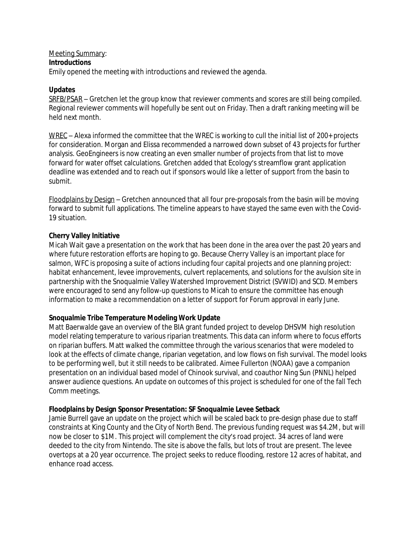## Meeting Summary:

#### **Introductions**

Emily opened the meeting with introductions and reviewed the agenda.

### **Updates**

SRFB/PSAR – Gretchen let the group know that reviewer comments and scores are still being compiled. Regional reviewer comments will hopefully be sent out on Friday. Then a draft ranking meeting will be held next month.

WREC – Alexa informed the committee that the WREC is working to cull the initial list of 200+ projects for consideration. Morgan and Elissa recommended a narrowed down subset of 43 projects for further analysis. GeoEngineers is now creating an even smaller number of projects from that list to move forward for water offset calculations. Gretchen added that Ecology's streamflow grant application deadline was extended and to reach out if sponsors would like a letter of support from the basin to submit.

Floodplains by Design – Gretchen announced that all four pre-proposals from the basin will be moving forward to submit full applications. The timeline appears to have stayed the same even with the Covid-19 situation.

#### **Cherry Valley Initiative**

Micah Wait gave a presentation on the work that has been done in the area over the past 20 years and where future restoration efforts are hoping to go. Because Cherry Valley is an important place for salmon, WFC is proposing a suite of actions including four capital projects and one planning project: habitat enhancement, levee improvements, culvert replacements, and solutions for the avulsion site in partnership with the Snoqualmie Valley Watershed Improvement District (SVWID) and SCD. Members were encouraged to send any follow-up questions to Micah to ensure the committee has enough information to make a recommendation on a letter of support for Forum approval in early June.

## **Snoqualmie Tribe Temperature Modeling Work Update**

Matt Baerwalde gave an overview of the BIA grant funded project to develop DHSVM high resolution model relating temperature to various riparian treatments. This data can inform where to focus efforts on riparian buffers. Matt walked the committee through the various scenarios that were modeled to look at the effects of climate change, riparian vegetation, and low flows on fish survival. The model looks to be performing well, but it still needs to be calibrated. Aimee Fullerton (NOAA) gave a companion presentation on an individual based model of Chinook survival, and coauthor Ning Sun (PNNL) helped answer audience questions. An update on outcomes of this project is scheduled for one of the fall Tech Comm meetings.

## **Floodplains by Design Sponsor Presentation: SF Snoqualmie Levee Setback**

Jamie Burrell gave an update on the project which will be scaled back to pre-design phase due to staff constraints at King County and the City of North Bend. The previous funding request was \$4.2M, but will now be closer to \$1M. This project will complement the city's road project. 34 acres of land were deeded to the city from Nintendo. The site is above the falls, but lots of trout are present. The levee overtops at a 20 year occurrence. The project seeks to reduce flooding, restore 12 acres of habitat, and enhance road access.